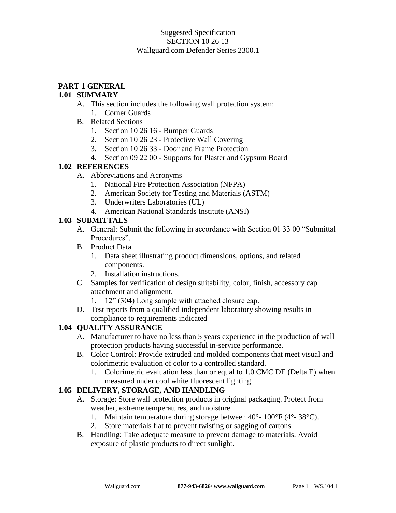#### Suggested Specification SECTION 10 26 13 Wallguard.com Defender Series 2300.1

# **PART 1 GENERAL**

#### **1.01 SUMMARY**

- A. This section includes the following wall protection system:
	- 1. Corner Guards
- B. Related Sections
	- 1. Section 10 26 16 Bumper Guards
	- 2. Section 10 26 23 Protective Wall Covering
	- 3. Section 10 26 33 Door and Frame Protection
	- 4. Section 09 22 00 Supports for Plaster and Gypsum Board

#### **1.02 REFERENCES**

- A. Abbreviations and Acronyms
	- 1. National Fire Protection Association (NFPA)
	- 2. American Society for Testing and Materials (ASTM)
	- 3. Underwriters Laboratories (UL)
	- 4. American National Standards Institute (ANSI)

#### **1.03 SUBMITTALS**

- A. General: Submit the following in accordance with Section 01 33 00 "Submittal Procedures".
- B. Product Data
	- 1. Data sheet illustrating product dimensions, options, and related components.
	- 2. Installation instructions.
- C. Samples for verification of design suitability, color, finish, accessory cap attachment and alignment.
	- 1. 12" (304) Long sample with attached closure cap.
- D. Test reports from a qualified independent laboratory showing results in compliance to requirements indicated

## **1.04 QUALITY ASSURANCE**

- A. Manufacturer to have no less than 5 years experience in the production of wall protection products having successful in-service performance.
- B. Color Control: Provide extruded and molded components that meet visual and colorimetric evaluation of color to a controlled standard.
	- 1. Colorimetric evaluation less than or equal to 1.0 CMC DE (Delta E) when measured under cool white fluorescent lighting.

## **1.05 DELIVERY, STORAGE, AND HANDLING**

- A. Storage: Store wall protection products in original packaging. Protect from weather, extreme temperatures, and moisture.
	- 1. Maintain temperature during storage between 40°- 100°F (4°- 38°C).
	- 2. Store materials flat to prevent twisting or sagging of cartons.
- B. Handling: Take adequate measure to prevent damage to materials. Avoid exposure of plastic products to direct sunlight.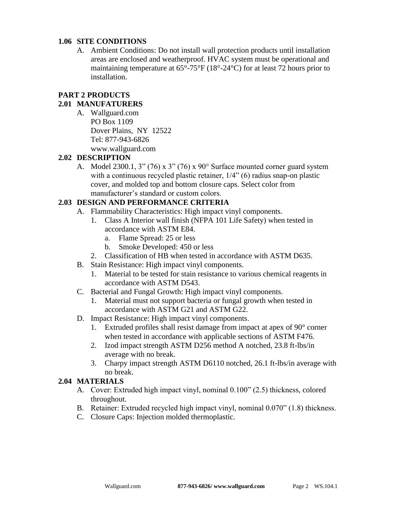#### **1.06 SITE CONDITIONS**

A. Ambient Conditions: Do not install wall protection products until installation areas are enclosed and weatherproof. HVAC system must be operational and maintaining temperature at 65°-75°F (18°-24°C) for at least 72 hours prior to installation.

## **PART 2 PRODUCTS**

## **2.01 MANUFATURERS**

A. Wallguard.com PO Box 1109 Dover Plains, NY 12522 Tel: 877-943-6826 www.wallguard.com

#### **2.02 DESCRIPTION**

A. Model 2300.1, 3" (76) x 3" (76) x 90° Surface mounted corner guard system with a continuous recycled plastic retainer,  $1/4$ " (6) radius snap-on plastic cover, and molded top and bottom closure caps. Select color from manufacturer's standard or custom colors.

## **2.03 DESIGN AND PERFORMANCE CRITERIA**

- A. Flammability Characteristics: High impact vinyl components.
	- 1. Class A Interior wall finish (NFPA 101 Life Safety) when tested in accordance with ASTM E84.
		- a. Flame Spread: 25 or less
		- b. Smoke Developed: 450 or less
	- 2. Classification of HB when tested in accordance with ASTM D635.
- B. Stain Resistance: High impact vinyl components.
	- 1. Material to be tested for stain resistance to various chemical reagents in accordance with ASTM D543.
- C. Bacterial and Fungal Growth: High impact vinyl components.
	- 1. Material must not support bacteria or fungal growth when tested in accordance with ASTM G21 and ASTM G22.
- D. Impact Resistance: High impact vinyl components.
	- 1. Extruded profiles shall resist damage from impact at apex of 90° corner when tested in accordance with applicable sections of ASTM F476.
	- 2. Izod impact strength ASTM D256 method A notched, 23.8 ft-lbs/in average with no break.
	- 3. Charpy impact strength ASTM D6110 notched, 26.1 ft-lbs/in average with no break.

## **2.04 MATERIALS**

- A. Cover: Extruded high impact vinyl, nominal 0.100" (2.5) thickness, colored throughout.
- B. Retainer: Extruded recycled high impact vinyl, nominal 0.070" (1.8) thickness.
- C. Closure Caps: Injection molded thermoplastic.